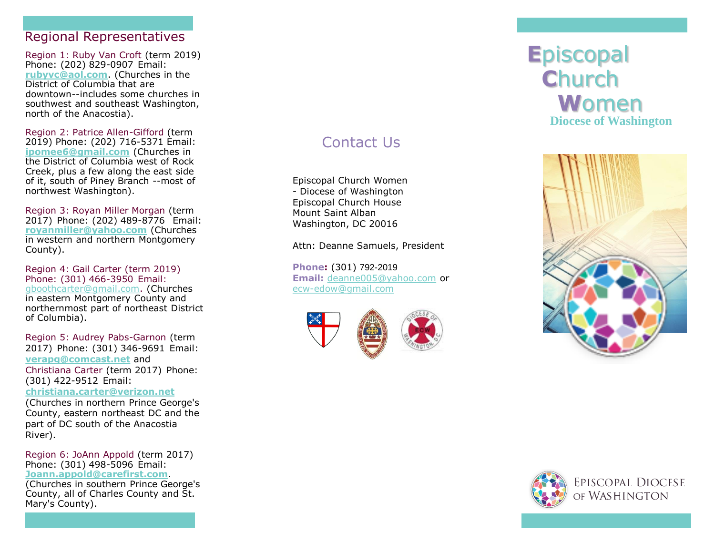#### Regional Representatives

Region 1: Ruby Van Croft (term 2019) Phone: (202) 829 -0907 Email: **[rubyvc@aol.com](mailto:rubyvc@aol.com)**. (Churches in the District of Columbia that are downtown--includes some churches in southwest and southeast Washington, north of the Anacostia).

Region 2: Patrice Allen -Gifford (term 2019) Phone: (202) 716 -5371 Email: **[ipomee6@gmail.com](mailto:%20ipomee6@gmail.com)** (Churches in the District of Columbia west of Rock Creek, plus a few along the east side of it, south of Piney Branch --most of northwest Washington).

Region 3: Royan Miller Morgan (term 2017) Phone: (202) 489 -8776 Email: **[royanmiller@yahoo.com](mailto:royanmiller@yahoo.com)** (Churches in western and northern Montgomery County).

Region 4: Gail Carter (term 2019) Phone: (301) 466 -3950 Email: [gboothcarter@gmail.com.](mailto:gboothcarter@gmail.com) (Churches in eastern Montgomery County and northernmost part of northeast District of Columbia).

Region 5: Audrey Pabs -Garnon (term 2017) Phone: (301) 346 -9691 Email: **[verapg@comcast.net](mailto:verapg@comcast.net)** and Christiana Carter (term 2017) Phone: (301) 422 -9512 Email: **[christiana.carter@verizon.net](mailto:christiana.carter@verizon.net)**

(Churches in northern Prince George's County, eastern northeast DC and the part of DC south of the Anacostia River).

Region 6: JoAnn Appold (term 2017) Phone: (301) 498 -5096 Email: **[Joann.appold@carefirst.com](mailto:Joann.appold@carefirst.com)**.

(Churches in southern Prince George's County, all of Charles County and St. Mary's County).

# Contact Us

Episcopal Church Women - Diocese of Washington Episcopal Church House Mount Saint Alban Washington, DC 20016

Attn: Deanne Samuels, President

**Phone :** (301) 792 -2019 **Email:** [deanne005@yahoo.com](mailto:deanne005@yahoo.com) or ecw [-edow@gmail.com](mailto:ecw-edow@gmail.com)





# **E**piscopal **C**hurch **W**omen **Diocese of Washington**